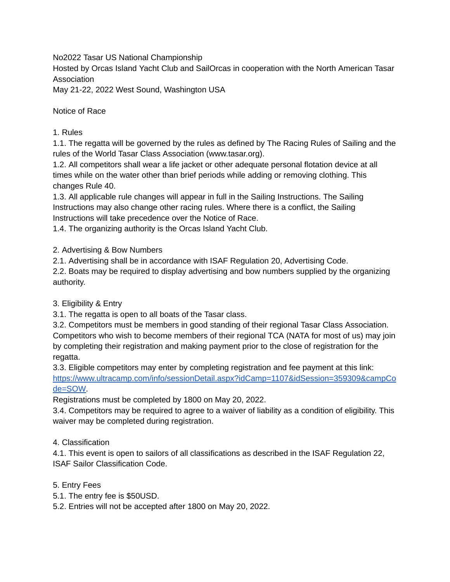No2022 Tasar US National Championship

Hosted by Orcas Island Yacht Club and SailOrcas in cooperation with the North American Tasar Association

May 21-22, 2022 West Sound, Washington USA

Notice of Race

# 1. Rules

1.1. The regatta will be governed by the rules as defined by The Racing Rules of Sailing and the rules of the World Tasar Class Association (www.tasar.org).

1.2. All competitors shall wear a life jacket or other adequate personal flotation device at all times while on the water other than brief periods while adding or removing clothing. This changes Rule 40.

1.3. All applicable rule changes will appear in full in the Sailing Instructions. The Sailing Instructions may also change other racing rules. Where there is a conflict, the Sailing Instructions will take precedence over the Notice of Race.

1.4. The organizing authority is the Orcas Island Yacht Club.

2. Advertising & Bow Numbers

2.1. Advertising shall be in accordance with ISAF Regulation 20, Advertising Code.

2.2. Boats may be required to display advertising and bow numbers supplied by the organizing authority.

3. Eligibility & Entry

3.1. The regatta is open to all boats of the Tasar class.

3.2. Competitors must be members in good standing of their regional Tasar Class Association. Competitors who wish to become members of their regional TCA (NATA for most of us) may join by completing their registration and making payment prior to the close of registration for the regatta.

3.3. Eligible competitors may enter by completing registration and fee payment at this link: [https://www.ultracamp.com/info/sessionDetail.aspx?idCamp=1107&idSession=359309&campCo](https://www.ultracamp.com/info/sessionDetail.aspx?idCamp=1107&idSession=359309&campCode=SOW) [de=SOW.](https://www.ultracamp.com/info/sessionDetail.aspx?idCamp=1107&idSession=359309&campCode=SOW)

Registrations must be completed by 1800 on May 20, 2022.

3.4. Competitors may be required to agree to a waiver of liability as a condition of eligibility. This waiver may be completed during registration.

# 4. Classification

4.1. This event is open to sailors of all classifications as described in the ISAF Regulation 22, ISAF Sailor Classification Code.

5. Entry Fees

5.1. The entry fee is \$50USD.

5.2. Entries will not be accepted after 1800 on May 20, 2022.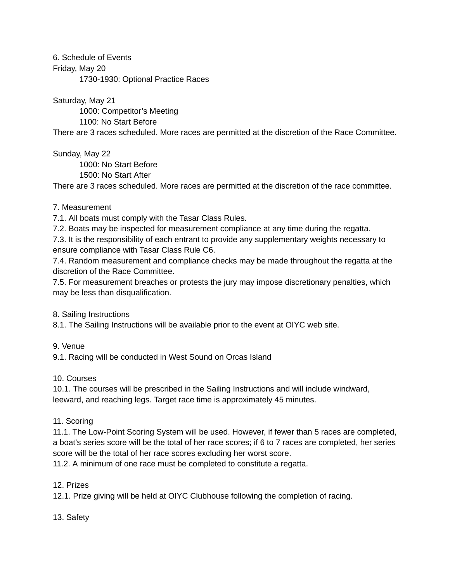6. Schedule of Events Friday, May 20 1730-1930: Optional Practice Races

Saturday, May 21

1000: Competitor's Meeting 1100: No Start Before

There are 3 races scheduled. More races are permitted at the discretion of the Race Committee.

Sunday, May 22

1000: No Start Before

1500: No Start After

There are 3 races scheduled. More races are permitted at the discretion of the race committee.

### 7. Measurement

7.1. All boats must comply with the Tasar Class Rules.

7.2. Boats may be inspected for measurement compliance at any time during the regatta.

7.3. It is the responsibility of each entrant to provide any supplementary weights necessary to ensure compliance with Tasar Class Rule C6.

7.4. Random measurement and compliance checks may be made throughout the regatta at the discretion of the Race Committee.

7.5. For measurement breaches or protests the jury may impose discretionary penalties, which may be less than disqualification.

8. Sailing Instructions

8.1. The Sailing Instructions will be available prior to the event at OIYC web site.

9. Venue

9.1. Racing will be conducted in West Sound on Orcas Island

10. Courses

10.1. The courses will be prescribed in the Sailing Instructions and will include windward, leeward, and reaching legs. Target race time is approximately 45 minutes.

# 11. Scoring

11.1. The Low-Point Scoring System will be used. However, if fewer than 5 races are completed, a boat's series score will be the total of her race scores; if 6 to 7 races are completed, her series score will be the total of her race scores excluding her worst score.

11.2. A minimum of one race must be completed to constitute a regatta.

# 12. Prizes

12.1. Prize giving will be held at OIYC Clubhouse following the completion of racing.

13. Safety